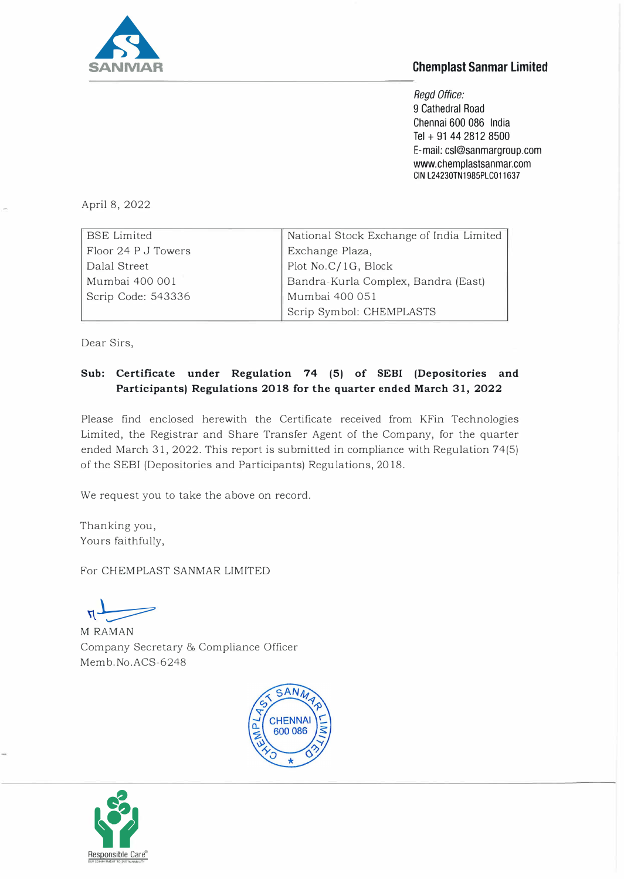

## **Chemplast Sanmar Limited**

*Regd Office:*  9 Cathedral Road Chennai 600 086 India Tel + 91 44 2812 8500 E-mail: csl@sanmargroup.com www.chemplastsanmar.com GIN L24230TN1985PLC011637

April 8, 2022

| <b>BSE</b> Limited  | National Stock Exchange of India Limited |
|---------------------|------------------------------------------|
| Floor 24 P J Towers |                                          |
| Dalal Street        | Exchange Plaza,<br>Plot No.C/1G, Block   |
| Mumbai 400 001      | Bandra-Kurla Complex, Bandra (East)      |
| Scrip Code: 543336  | Mumbai 400 051                           |
|                     | Scrip Symbol: CHEMPLASTS                 |

Dear Sirs,

## **Sub: Certificate under Regulation 74 (5) of SEBI (Depositories and Participants) Regulations 2018 for the quarter ended March 31, 2022**

Please find enclosed herewith the Certificate received from KFin Technologies Limited, the Registrar and Share Transfer Agent of the Company, for the quarter ended March 31, 2022. This report is submitted in compliance with Regulation 74(5) of the SEBI (Depositories and Participants) Regulations, 2018.

We request you to take the above on record.

Thanking you, Yours faithfully,

For CHEMPLAST SANMAR LIMITED

 $\mathbf{a}$  $\overline{\phantom{a}}$ 

M RAMAN Company Secretary & Compliance Officer Memb.No.ACS-6248



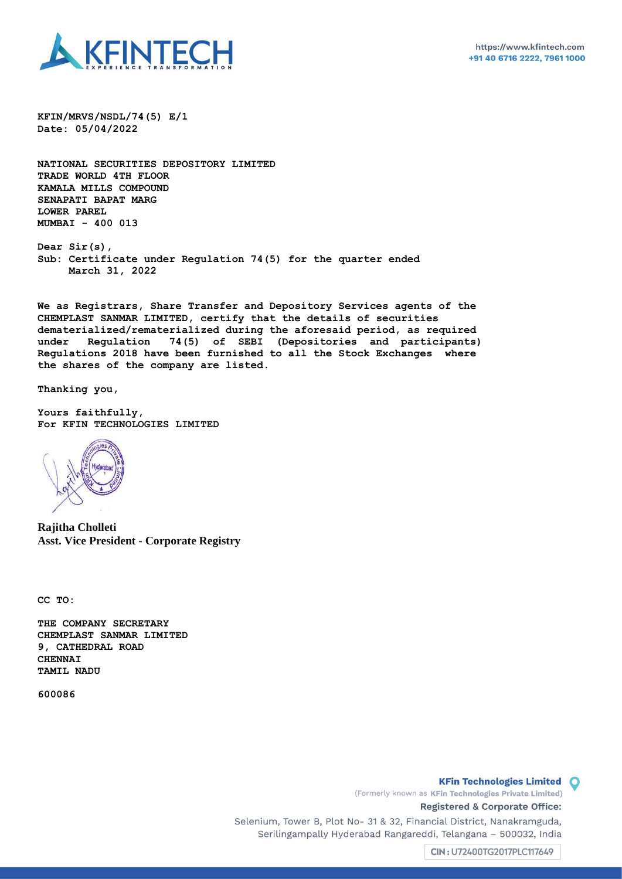

**KFIN/MRVS/NSDL/74(5) E/1 Date: 05/04/2022**

**NATIONAL SECURITIES DEPOSITORY LIMITED TRADE WORLD 4TH FLOOR KAMALA MILLS COMPOUND SENAPATI BAPAT MARG LOWER PAREL MUMBAI - 400 013**

**Dear Sir(s), Sub: Certificate under Regulation 74(5) for the quarter ended March 31, 2022**

**We as Registrars, Share Transfer and Depository Services agents of the CHEMPLAST SANMAR LIMITED, certify that the details of securities dematerialized/rematerialized during the aforesaid period, as required under Regulation 74(5) of SEBI (Depositories and participants) Regulations 2018 have been furnished to all the Stock Exchanges where the shares of the company are listed.** 

**Thanking you,**

**Yours faithfully, For KFIN TECHNOLOGIES LIMITED**



**Rajitha Cholleti Asst. Vice President - Corporate Registry**

**CC TO:**

**THE COMPANY SECRETARY CHEMPLAST SANMAR LIMITED 9, CATHEDRAL ROAD CHENNAI TAMIL NADU** 

**600086**

**KFin Technologies Limited O** 

(Formerly known as KFin Technologies Private Limited) Registered & Corporate Office:

Selenium, Tower B, Plot No- 31 & 32, Financial District, Nanakramguda, Serilingampally Hyderabad Rangareddi, Telangana - 500032, India

CIN: U72400TG2017PLC117649